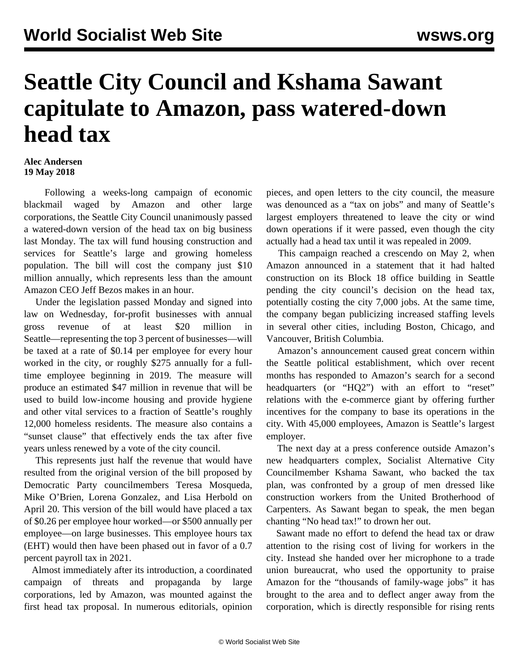## **Seattle City Council and Kshama Sawant capitulate to Amazon, pass watered-down head tax**

## **Alec Andersen 19 May 2018**

 Following a weeks-long campaign of economic blackmail waged by Amazon and other large corporations, the Seattle City Council unanimously passed a watered-down version of the head tax on big business last Monday. The tax will fund housing construction and services for Seattle's large and growing homeless population. The bill will cost the company just \$10 million annually, which represents less than the amount Amazon CEO Jeff Bezos makes in an hour.

 Under the legislation passed Monday and signed into law on Wednesday, for-profit businesses with annual gross revenue of at least \$20 million in Seattle—representing the top 3 percent of businesses—will be taxed at a rate of \$0.14 per employee for every hour worked in the city, or roughly \$275 annually for a fulltime employee beginning in 2019. The measure will produce an estimated \$47 million in revenue that will be used to build low-income housing and provide hygiene and other vital services to a fraction of Seattle's roughly 12,000 homeless residents. The measure also contains a "sunset clause" that effectively ends the tax after five years unless renewed by a vote of the city council.

 This represents just half the revenue that would have resulted from the original version of the bill proposed by Democratic Party councilmembers Teresa Mosqueda, Mike O'Brien, Lorena Gonzalez, and Lisa Herbold on April 20. This version of the bill would have placed a tax of \$0.26 per employee hour worked—or \$500 annually per employee—on large businesses. This employee hours tax (EHT) would then have been phased out in favor of a 0.7 percent payroll tax in 2021.

 Almost immediately after its introduction, a coordinated campaign of threats and propaganda by large corporations, led by Amazon, was mounted against the first head tax proposal. In numerous editorials, opinion pieces, and open letters to the city council, the measure was denounced as a "tax on jobs" and many of Seattle's largest employers threatened to leave the city or wind down operations if it were passed, even though the city actually had a head tax until it was repealed in 2009.

 This campaign reached a crescendo on May 2, when Amazon announced in a statement that it had halted construction on its Block 18 office building in Seattle pending the city council's decision on the head tax, potentially costing the city 7,000 jobs. At the same time, the company began publicizing increased staffing levels in several other cities, including Boston, Chicago, and Vancouver, British Columbia.

 Amazon's announcement caused great concern within the Seattle political establishment, which over recent months has responded to Amazon's search for a second headquarters (or "HQ2") with an effort to "reset" relations with the e-commerce giant by offering further incentives for the company to base its operations in the city. With 45,000 employees, Amazon is Seattle's largest employer.

 The next day at a press conference outside Amazon's new headquarters complex, Socialist Alternative City Councilmember Kshama Sawant, who backed the tax plan, was confronted by a group of men dressed like construction workers from the United Brotherhood of Carpenters. As Sawant began to speak, the men began chanting "No head tax!" to drown her out.

 Sawant made no effort to defend the head tax or draw attention to the rising cost of living for workers in the city. Instead she handed over her microphone to a trade union bureaucrat, who used the opportunity to praise Amazon for the "thousands of family-wage jobs" it has brought to the area and to deflect anger away from the corporation, which is directly responsible for rising rents